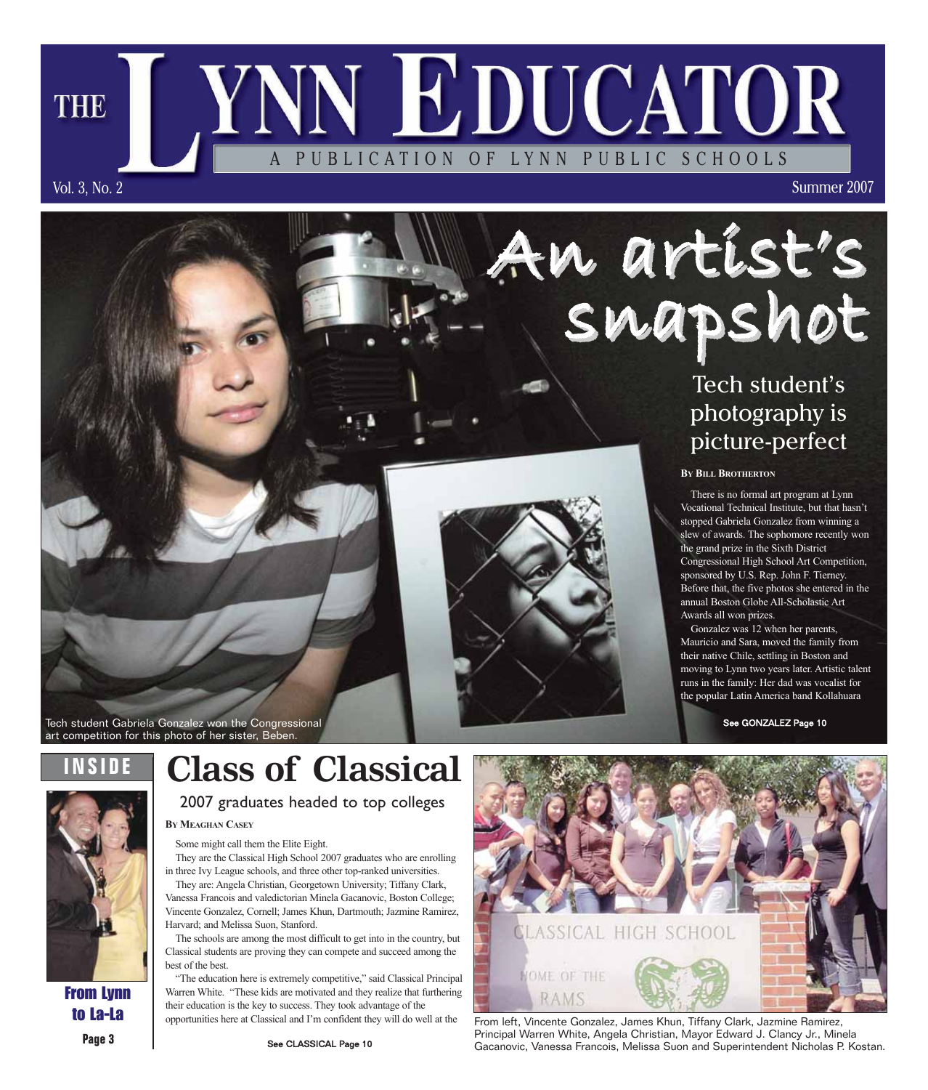Summer 2007

## Tech student's photography is picture-perfect

**BY BILL BROTHERTON**

snapshot

An artist's

PUBLICATION OF LYNN PUBLIC SCHOOLS

**YNN EDUCATOR** 

There is no formal art program at Lynn Vocational Technical Institute, but that hasn't stopped Gabriela Gonzalez from winning a slew of awards. The sophomore recently won the grand prize in the Sixth District Congressional High School Art Competition, sponsored by U.S. Rep. John F. Tierney. Before that, the five photos she entered in the annual Boston Globe All-Scholastic Art Awards all won prizes.

Gonzalez was 12 when her parents, Mauricio and Sara, moved the family from their native Chile, settling in Boston and moving to Lynn two years later. Artistic talent runs in the family: Her dad was vocalist for the popular Latin America band Kollahuara

See GONZALEZ Page 10

**INSIDE** art competition for this photo of her sister, Beben.

Tech student Gabriela Gonzalez won the Congressional

## **Class of Classical**



Vol. 3, No. 2

**THE** 

From Lynn to La-La

**Page 3**

**BY MEAGHAN CASEY** 2007 graduates headed to top colleges

Some might call them the Elite Eight.

They are the Classical High School 2007 graduates who are enrolling in three Ivy League schools, and three other top-ranked universities.

They are: Angela Christian, Georgetown University; Tiffany Clark, Vanessa Francois and valedictorian Minela Gacanovic, Boston College; Vincente Gonzalez, Cornell; James Khun, Dartmouth; Jazmine Ramirez, Harvard; and Melissa Suon, Stanford.

The schools are among the most difficult to get into in the country, but Classical students are proving they can compete and succeed among the best of the best.

"The education here is extremely competitive," said Classical Principal Warren White. "These kids are motivated and they realize that furthering their education is the key to success. They took advantage of the opportunities here at Classical and I'm confident they will do well at the



From left, Vincente Gonzalez, James Khun, Tiffany Clark, Jazmine Ramirez, Principal Warren White, Angela Christian, Mayor Edward J. Clancy Jr., Minela Gacanovic, Vanessa Francois, Melissa Suon and Superintendent Nicholas P. Kostan.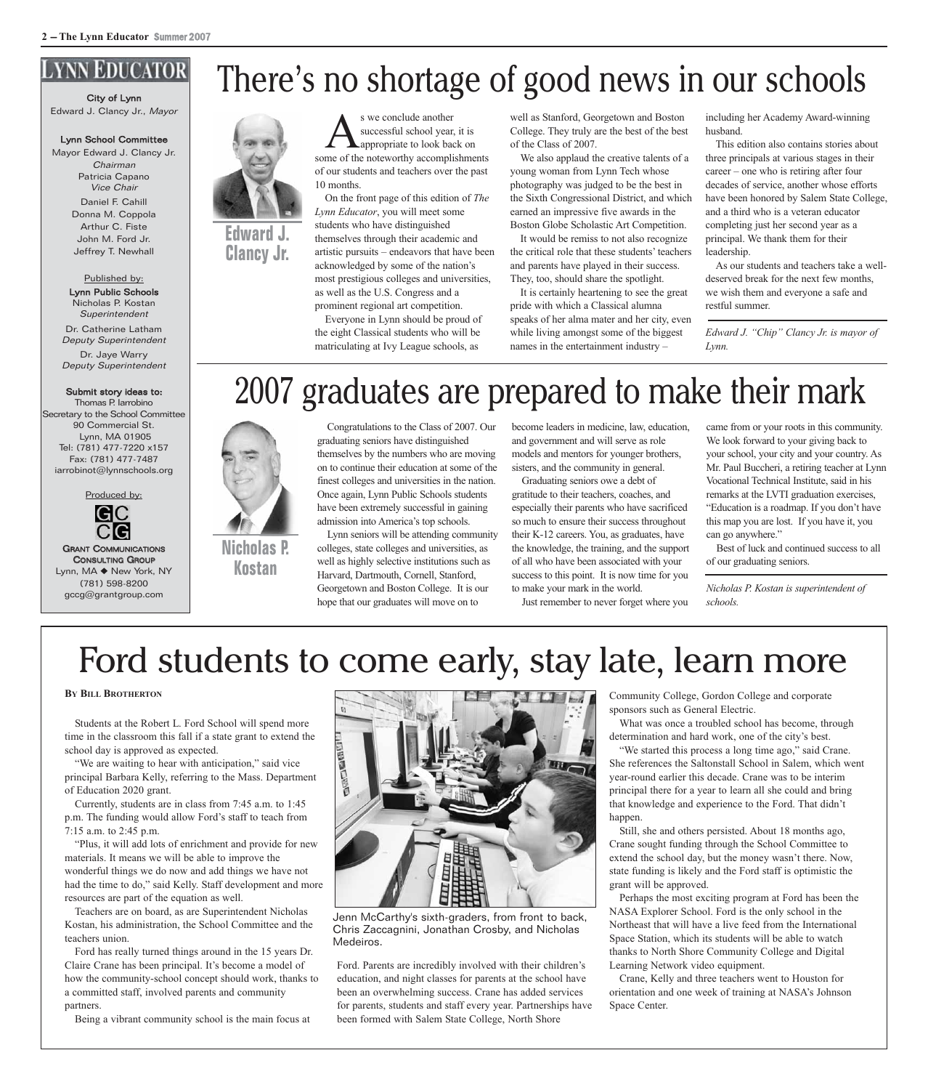#### **YNN EDUCATOR**

City of Lynn Edward J. Clancy Jr., Mayor

#### Lynn School Committee

Mayor Edward J. Clancy Jr. Chairman Patricia Capano Vice Chair Daniel F. Cahill Donna M. Coppola Arthur C. Fiste John M. Ford Jr. Jeffrey T. Newhall

> Published by: Lynn Public Schools Nicholas P. Kostan Superintendent

Dr. Catherine Latham Deputy Superintendent

Dr. Jaye Warry Deputy Superintendent

#### Submit story ideas to:

Thomas P. Iarrobino Secretary to the School Committee 90 Commercial St. Lynn, MA 01905 Tel: (781) 477-7220 x157 Fax: (781) 477-7487 iarrobinot@lynnschools.org

Produced by:



GRANT COMMUNICATIONS CONSULTING GROUP Lynn, MA ◆ New York, NY (781) 598-8200 gccg@grantgroup.com



**Clancy Jr.**

S we conclude another<br>
successful school year, it is<br>
some of the noteworthy accomplishments successful school year, it is appropriate to look back on of our students and teachers over the past 10 months.

On the front page of this edition of *The Lynn Educator*, you will meet some students who have distinguished themselves through their academic and artistic pursuits – endeavors that have been acknowledged by some of the nation's most prestigious colleges and universities, as well as the U.S. Congress and a prominent regional art competition.

Everyone in Lynn should be proud of the eight Classical students who will be matriculating at Ivy League schools, as

well as Stanford, Georgetown and Boston College. They truly are the best of the best of the Class of 2007.

We also applaud the creative talents of a young woman from Lynn Tech whose photography was judged to be the best in the Sixth Congressional District, and which earned an impressive five awards in the Boston Globe Scholastic Art Competition.

It would be remiss to not also recognize the critical role that these students' teachers and parents have played in their success. They, too, should share the spotlight.

It is certainly heartening to see the great pride with which a Classical alumna speaks of her alma mater and her city, even while living amongst some of the biggest names in the entertainment industry –

including her Academy Award-winning husband.

This edition also contains stories about three principals at various stages in their career – one who is retiring after four decades of service, another whose efforts have been honored by Salem State College, and a third who is a veteran educator completing just her second year as a principal. We thank them for their leadership.

As our students and teachers take a welldeserved break for the next few months, we wish them and everyone a safe and restful summer.

*Edward J. "Chip" Clancy Jr. is mayor of Lynn.*

## 2007 graduates are prepared to make their mark



**Nicholas P. Kostan**

Congratulations to the Class of 2007. Our graduating seniors have distinguished themselves by the numbers who are moving on to continue their education at some of the finest colleges and universities in the nation. Once again, Lynn Public Schools students have been extremely successful in gaining admission into America's top schools.

Lynn seniors will be attending community colleges, state colleges and universities, as well as highly selective institutions such as Harvard, Dartmouth, Cornell, Stanford, Georgetown and Boston College. It is our hope that our graduates will move on to

become leaders in medicine, law, education, and government and will serve as role models and mentors for younger brothers, sisters, and the community in general.

Graduating seniors owe a debt of gratitude to their teachers, coaches, and especially their parents who have sacrificed so much to ensure their success throughout their K-12 careers. You, as graduates, have the knowledge, the training, and the support of all who have been associated with your success to this point. It is now time for you to make your mark in the world.

Just remember to never forget where you

came from or your roots in this community. We look forward to your giving back to your school, your city and your country. As Mr. Paul Buccheri, a retiring teacher at Lynn Vocational Technical Institute, said in his remarks at the LVTI graduation exercises, "Education is a roadmap. If you don't have this map you are lost. If you have it, you can go anywhere."

Best of luck and continued success to all of our graduating seniors.

*Nicholas P. Kostan is superintendent of schools.*

## Ford students to come early, stay late, learn more

**BY BILL BROTHERTON**

Students at the Robert L. Ford School will spend more time in the classroom this fall if a state grant to extend the school day is approved as expected.

"We are waiting to hear with anticipation," said vice principal Barbara Kelly, referring to the Mass. Department of Education 2020 grant.

Currently, students are in class from 7:45 a.m. to 1:45 p.m. The funding would allow Ford's staff to teach from 7:15 a.m. to 2:45 p.m.

"Plus, it will add lots of enrichment and provide for new materials. It means we will be able to improve the wonderful things we do now and add things we have not had the time to do," said Kelly. Staff development and more resources are part of the equation as well.

Teachers are on board, as are Superintendent Nicholas Kostan, his administration, the School Committee and the teachers union.

Ford has really turned things around in the 15 years Dr. Claire Crane has been principal. It's become a model of how the community-school concept should work, thanks to a committed staff, involved parents and community partners.

Being a vibrant community school is the main focus at



Jenn McCarthy's sixth-graders, from front to back, Chris Zaccagnini, Jonathan Crosby, and Nicholas Medeiros.

Ford. Parents are incredibly involved with their children's education, and night classes for parents at the school have been an overwhelming success. Crane has added services for parents, students and staff every year. Partnerships have been formed with Salem State College, North Shore

Community College, Gordon College and corporate sponsors such as General Electric.

What was once a troubled school has become, through determination and hard work, one of the city's best.

"We started this process a long time ago," said Crane. She references the Saltonstall School in Salem, which went year-round earlier this decade. Crane was to be interim principal there for a year to learn all she could and bring that knowledge and experience to the Ford. That didn't happen.

Still, she and others persisted. About 18 months ago, Crane sought funding through the School Committee to extend the school day, but the money wasn't there. Now, state funding is likely and the Ford staff is optimistic the grant will be approved.

Perhaps the most exciting program at Ford has been the NASA Explorer School. Ford is the only school in the Northeast that will have a live feed from the International Space Station, which its students will be able to watch thanks to North Shore Community College and Digital Learning Network video equipment.

Crane, Kelly and three teachers went to Houston for orientation and one week of training at NASA's Johnson Space Center.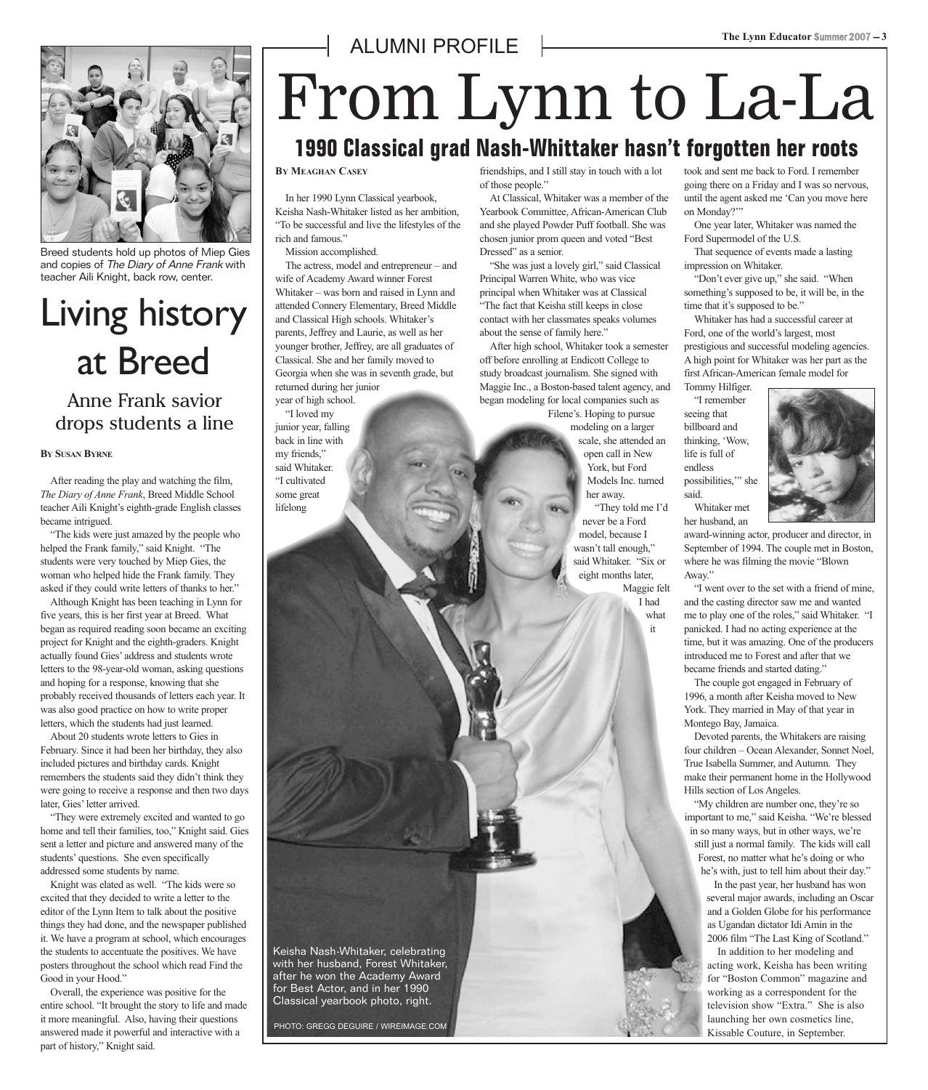

Breed students hold up photos of Miep Gies and copies of The Diary of Anne Frank with teacher Aili Knight, back row, center.

## Living history at Breed

#### Anne Frank savior drops students a line

#### **BY SUSAN BYRNE**

After reading the play and watching the film, *The Diary of Anne Frank*, Breed Middle School teacher Aili Knight's eighth-grade English classes became intrigued.

"The kids were just amazed by the people who helped the Frank family," said Knight. "The students were very touched by Miep Gies, the woman who helped hide the Frank family. They asked if they could write letters of thanks to her."

Although Knight has been teaching in Lynn for five years, this is her first year at Breed. What began as required reading soon became an exciting project for Knight and the eighth-graders. Knight actually found Gies' address and students wrote letters to the 98-year-old woman, asking questions and hoping for a response, knowing that she probably received thousands of letters each year. It was also good practice on how to write proper letters, which the students had just learned.

About 20 students wrote letters to Gies in February. Since it had been her birthday, they also included pictures and birthday cards. Knight remembers the students said they didn't think they were going to receive a response and then two days later, Gies' letter arrived.

"They were extremely excited and wanted to go home and tell their families, too," Knight said. Gies sent a letter and picture and answered many of the students' questions. She even specifically addressed some students by name.

Knight was elated as well. "The kids were so excited that they decided to write a letter to the editor of the Lynn Item to talk about the positive things they had done, and the newspaper published it. We have a program at school, which encourages the students to accentuate the positives. We have posters throughout the school which read Find the Good in your Hood."

Overall, the experience was positive for the entire school. "It brought the story to life and made it more meaningful. Also, having their questions answered made it powerful and interactive with a part of history," Knight said.

## From Lynn to La-La **1990 Classical grad Nash-Whittaker hasn't forgotten her roots**

**BY MEAGHAN CASEY**

In her 1990 Lynn Classical yearbook, Keisha Nash-Whitaker listed as her ambition, "To be successful and live the lifestyles of the rich and famous."

ALUMNI PROFILE

Mission accomplished.

The actress, model and entrepreneur – and wife of Academy Award winner Forest Whitaker – was born and raised in Lynn and attended Connery Elementary, Breed Middle and Classical High schools. Whitaker's parents, Jeffrey and Laurie, as well as her younger brother, Jeffrey, are all graduates of Classical. She and her family moved to Georgia when she was in seventh grade, but returned during her junior year of high school.

"I loved my junior year, falling back in line with my friends," said Whitaker. "I cultivated some great lifelong

friendships, and I still stay in touch with a lot of those people."

At Classical, Whitaker was a member of the Yearbook Committee, African-American Club and she played Powder Puff football. She was chosen junior prom queen and voted "Best Dressed" as a senior.

"She was just a lovely girl," said Classical Principal Warren White, who was vice principal when Whitaker was at Classical "The fact that Keisha still keeps in close contact with her classmates speaks volumes about the sense of family here."

After high school, Whitaker took a semester off before enrolling at Endicott College to study broadcast journalism. She signed with Maggie Inc., a Boston-based talent agency, and began modeling for local companies such as

Filene's. Hoping to pursue modeling on a larger scale, she attended an open call in New York, but Ford Models Inc. turned her away.

"They told me I'd never be a Ford model, because I wasn't tall enough," said Whitaker. "Six or eight months later, Maggie felt

I had what it

took and sent me back to Ford. I remember going there on a Friday and I was so nervous, until the agent asked me 'Can you move here on Monday?"

One year later, Whitaker was named the Ford Supermodel of the U.S.

That sequence of events made a lasting impression on Whitaker.

"Don't ever give up," she said. "When something's supposed to be, it will be, in the time that it's supposed to be."

Whitaker has had a successful career at Ford, one of the world's largest, most prestigious and successful modeling agencies. A high point for Whitaker was her part as the first African-American female model for Tommy Hilfiger.

"I remember seeing that billboard and thinking, 'Wow, life is full of endless possibilities,'" she said.

Whitaker met



her husband, an

award-winning actor, producer and director, in September of 1994. The couple met in Boston, where he was filming the movie "Blown Away."

"I went over to the set with a friend of mine, and the casting director saw me and wanted me to play one of the roles," said Whitaker. "I panicked. I had no acting experience at the time, but it was amazing. One of the producers introduced me to Forest and after that we became friends and started dating."

The couple got engaged in February of 1996, a month after Keisha moved to New York. They married in May of that year in Montego Bay, Jamaica.

Devoted parents, the Whitakers are raising four children – Ocean Alexander, Sonnet Noel, True Isabella Summer, and Autumn. They make their permanent home in the Hollywood Hills section of Los Angeles.

"My children are number one, they're so important to me," said Keisha. "We're blessed in so many ways, but in other ways, we're still just a normal family. The kids will call Forest, no matter what he's doing or who he's with, just to tell him about their day."

In the past year, her husband has won several major awards, including an Oscar and a Golden Globe for his performance as Ugandan dictator Idi Amin in the 2006 film "The Last King of Scotland."

In addition to her modeling and acting work, Keisha has been writing for "Boston Common" magazine and working as a correspondent for the television show "Extra." She is also launching her own cosmetics line, Kissable Couture, in September.

Keisha Nash-Whitaker, celebrating with her husband, Forest Whitaker, after he won the Academy Award for Best Actor, and in her 1990 Classical yearbook photo, right.

PHOTO: GREGG DEGUIRE / WIREIMAGE.COM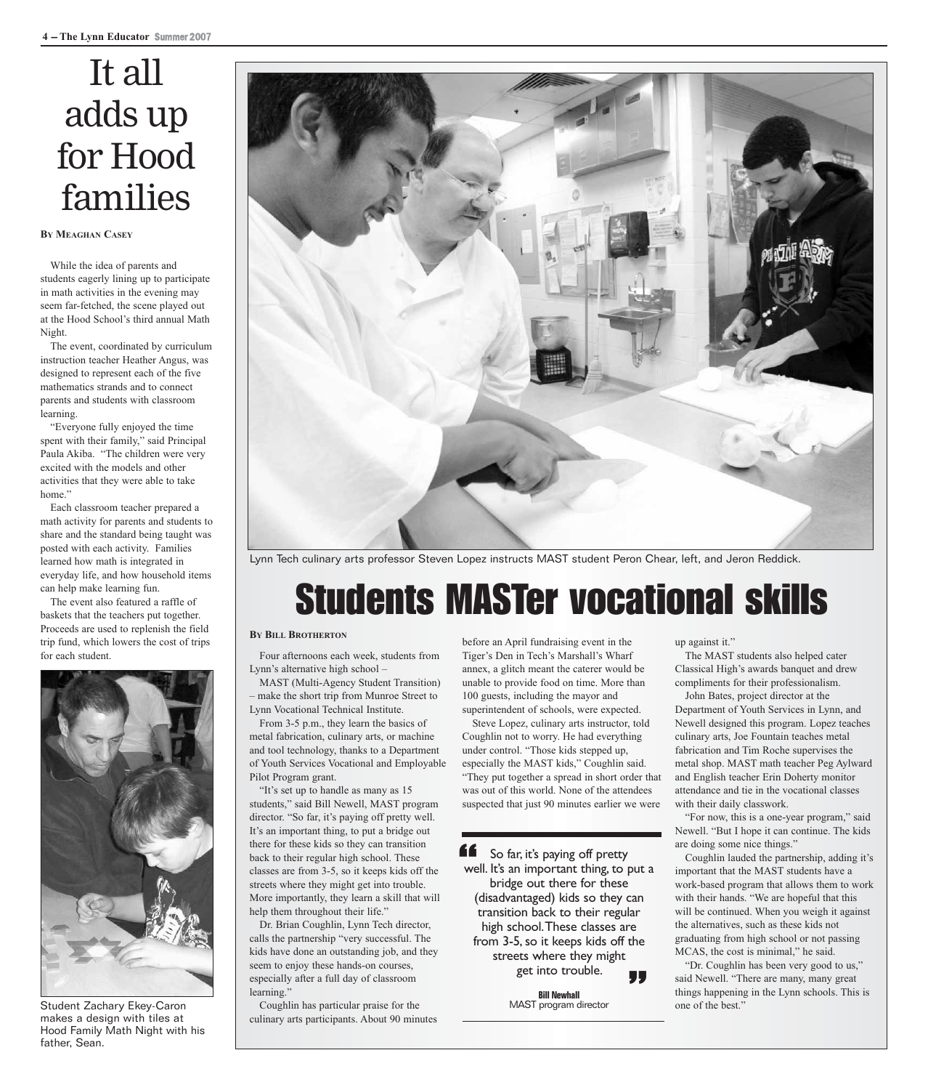## It all adds up for Hood families

#### **BY MEAGHAN CASEY**

While the idea of parents and students eagerly lining up to participate in math activities in the evening may seem far-fetched, the scene played out at the Hood School's third annual Math Night.

The event, coordinated by curriculum instruction teacher Heather Angus, was designed to represent each of the five mathematics strands and to connect parents and students with classroom learning.

"Everyone fully enjoyed the time spent with their family," said Principal Paula Akiba. "The children were very excited with the models and other activities that they were able to take home."

Each classroom teacher prepared a math activity for parents and students to share and the standard being taught was posted with each activity. Families learned how math is integrated in everyday life, and how household items can help make learning fun.

The event also featured a raffle of baskets that the teachers put together. Proceeds are used to replenish the field trip fund, which lowers the cost of trips for each student.



Student Zachary Ekey-Caron makes a design with tiles at Hood Family Math Night with his father, Sean.



Lynn Tech culinary arts professor Steven Lopez instructs MAST student Peron Chear, left, and Jeron Reddick.

## Students MASTer vocational skills

#### **BY BILL BROTHERTON**

Four afternoons each week, students from Lynn's alternative high school –

MAST (Multi-Agency Student Transition) – make the short trip from Munroe Street to Lynn Vocational Technical Institute.

From 3-5 p.m., they learn the basics of metal fabrication, culinary arts, or machine and tool technology, thanks to a Department of Youth Services Vocational and Employable

Pilot Program grant. "It's set up to handle as many as 15 students," said Bill Newell, MAST program director. "So far, it's paying off pretty well. It's an important thing, to put a bridge out there for these kids so they can transition back to their regular high school. These classes are from 3-5, so it keeps kids off the streets where they might get into trouble. More importantly, they learn a skill that will help them throughout their life."

Dr. Brian Coughlin, Lynn Tech director, calls the partnership "very successful. The kids have done an outstanding job, and they seem to enjoy these hands-on courses, especially after a full day of classroom learning."

Coughlin has particular praise for the culinary arts participants. About 90 minutes before an April fundraising event in the Tiger's Den in Tech's Marshall's Wharf annex, a glitch meant the caterer would be unable to provide food on time. More than 100 guests, including the mayor and superintendent of schools, were expected.

Steve Lopez, culinary arts instructor, told Coughlin not to worry. He had everything under control. "Those kids stepped up, especially the MAST kids," Coughlin said. "They put together a spread in short order that was out of this world. None of the attendees suspected that just 90 minutes earlier we were

So far, it's paying off pretty well. It's an important thing, to put a bridge out there for these (disadvantaged) kids so they can transition back to their regular high school. These classes are from 3-5, so it keeps kids off the streets where they might get into trouble. 14<br>We "

> **Bill Newhall** MAST program director

up against it."

The MAST students also helped cater Classical High's awards banquet and drew compliments for their professionalism.

John Bates, project director at the Department of Youth Services in Lynn, and Newell designed this program. Lopez teaches culinary arts, Joe Fountain teaches metal fabrication and Tim Roche supervises the metal shop. MAST math teacher Peg Aylward and English teacher Erin Doherty monitor attendance and tie in the vocational classes with their daily classwork.

"For now, this is a one-year program," said Newell. "But I hope it can continue. The kids are doing some nice things."

Coughlin lauded the partnership, adding it's important that the MAST students have a work-based program that allows them to work with their hands. "We are hopeful that this will be continued. When you weigh it against the alternatives, such as these kids not graduating from high school or not passing MCAS, the cost is minimal," he said.

"Dr. Coughlin has been very good to us," said Newell. "There are many, many great things happening in the Lynn schools. This is one of the best."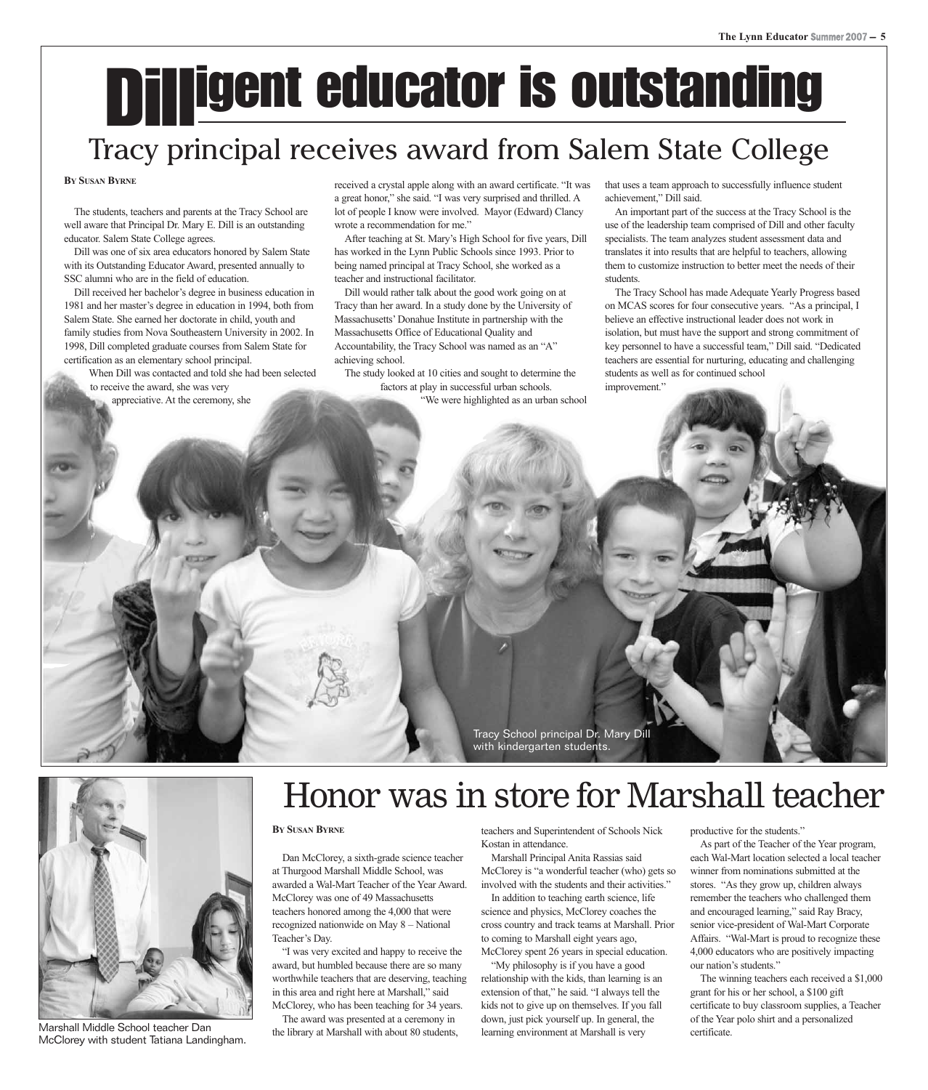## Dilligent educator is outstanding

## Tracy principal receives award from Salem State College

#### **BY SUSAN BYRNE**

The students, teachers and parents at the Tracy School are well aware that Principal Dr. Mary E. Dill is an outstanding educator. Salem State College agrees.

Dill was one of six area educators honored by Salem State with its Outstanding Educator Award, presented annually to SSC alumni who are in the field of education.

Dill received her bachelor's degree in business education in 1981 and her master's degree in education in 1994, both from Salem State. She earned her doctorate in child, youth and family studies from Nova Southeastern University in 2002. In 1998, Dill completed graduate courses from Salem State for certification as an elementary school principal.

When Dill was contacted and told she had been selected to receive the award, she was very

appreciative. At the ceremony, she

received a crystal apple along with an award certificate. "It was a great honor," she said. "I was very surprised and thrilled. A lot of people I know were involved. Mayor (Edward) Clancy wrote a recommendation for me."

After teaching at St. Mary's High School for five years, Dill has worked in the Lynn Public Schools since 1993. Prior to being named principal at Tracy School, she worked as a teacher and instructional facilitator.

Dill would rather talk about the good work going on at Tracy than her award. In a study done by the University of Massachusetts' Donahue Institute in partnership with the Massachusetts Office of Educational Quality and Accountability, the Tracy School was named as an "A" achieving school.

The study looked at 10 cities and sought to determine the factors at play in successful urban schools. "We were highlighted as an urban school that uses a team approach to successfully influence student achievement," Dill said.

An important part of the success at the Tracy School is the use of the leadership team comprised of Dill and other faculty specialists. The team analyzes student assessment data and translates it into results that are helpful to teachers, allowing them to customize instruction to better meet the needs of their students.

The Tracy School has made Adequate Yearly Progress based on MCAS scores for four consecutive years. "As a principal, I believe an effective instructional leader does not work in isolation, but must have the support and strong commitment of key personnel to have a successful team," Dill said. "Dedicated teachers are essential for nurturing, educating and challenging students as well as for continued school improvement."

Tracy School principal Dr. Mary Dill with kindergarten students.



Marshall Middle School teacher Dan McClorey with student Tatiana Landingham.

## Honor was in store for Marshall teacher

#### **BY SUSAN BYRNE**

Dan McClorey, a sixth-grade science teacher at Thurgood Marshall Middle School, was awarded a Wal-Mart Teacher of the Year Award. McClorey was one of 49 Massachusetts teachers honored among the 4,000 that were recognized nationwide on May 8 – National Teacher's Day.

"I was very excited and happy to receive the award, but humbled because there are so many worthwhile teachers that are deserving, teaching in this area and right here at Marshall," said McClorey, who has been teaching for 34 years.

The award was presented at a ceremony in the library at Marshall with about 80 students,

teachers and Superintendent of Schools Nick Kostan in attendance.

Marshall Principal Anita Rassias said McClorey is "a wonderful teacher (who) gets so involved with the students and their activities."

In addition to teaching earth science, life science and physics, McClorey coaches the cross country and track teams at Marshall. Prior to coming to Marshall eight years ago, McClorey spent 26 years in special education.

"My philosophy is if you have a good relationship with the kids, than learning is an extension of that," he said. "I always tell the kids not to give up on themselves. If you fall down, just pick yourself up. In general, the learning environment at Marshall is very

productive for the students."

As part of the Teacher of the Year program, each Wal-Mart location selected a local teacher winner from nominations submitted at the stores. "As they grow up, children always remember the teachers who challenged them and encouraged learning," said Ray Bracy, senior vice-president of Wal-Mart Corporate Affairs. "Wal-Mart is proud to recognize these 4,000 educators who are positively impacting our nation's students."

The winning teachers each received a \$1,000 grant for his or her school, a \$100 gift certificate to buy classroom supplies, a Teacher of the Year polo shirt and a personalized certificate.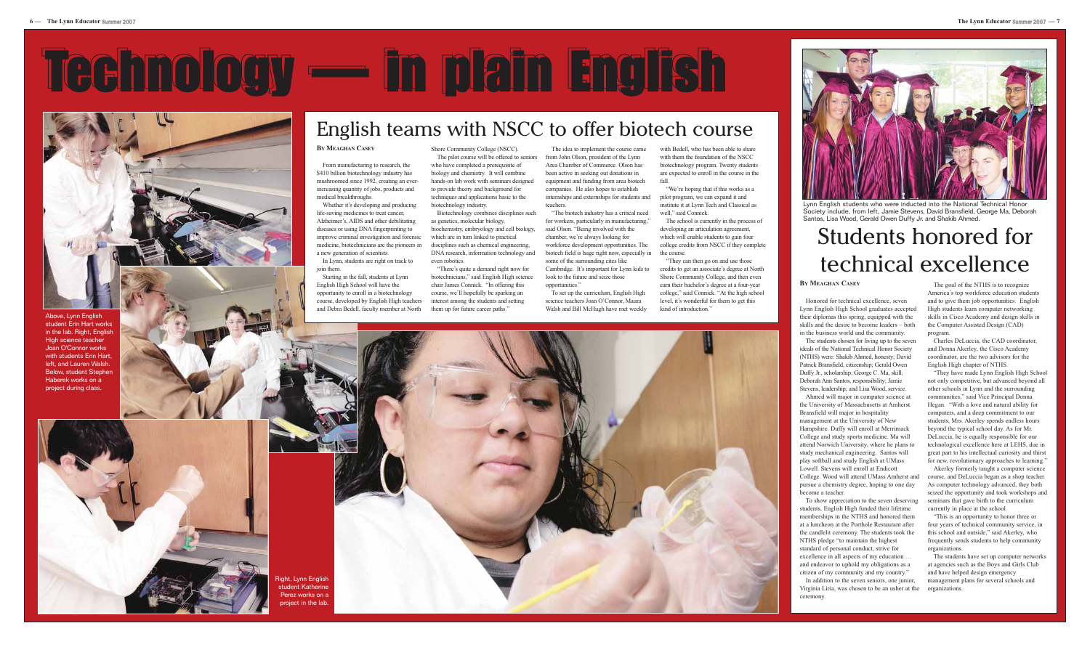#### **BY MEAGHAN CASEY**

Honored for technical excellence, seven Lynn English High School graduates accepted their diplomas this spring, equipped with the skills and the desire to become leaders – both in the business world and the community.

The students chosen for living up to the seven ideals of the National Technical Honor Society (NTHS) were: Shakib Ahmed, honesty; David Patrick Bransfield, citizenship; Gerald Owen Duffy Jr., scholarship; George C. Ma, skill; Deborah Ann Santos, responsibility; Jamie Stevens, leadership; and Lisa Wood, service.

Ahmed will major in computer science at the University of Massachusetts at Amherst. Bransfield will major in hospitality management at the University of New Hampshire. Duffy will enroll at Merrimack College and study sports medicine. Ma will attend Norwich University, where he plans to study mechanical engineering. Santos will play softball and study English at UMass Lowell. Stevens will enroll at Endicott College. Wood will attend UMass Amherst and pursue a chemistry degree, hoping to one day become a teacher.

To show appreciation to the seven deserving students, English High funded their lifetime memberships in the NTHS and honored them at a luncheon at the Porthole Restaurant after the candlelit ceremony. The students took the NTHS pledge "to maintain the highest standard of personal conduct, strive for excellence in all aspects of my education … and endeavor to uphold my obligations as a citizen of my community and my country."

In addition to the seven seniors, one junior, Virginia Liria, was chosen to be an usher at the ceremony.

The goal of the NTHS is to recognize America's top workforce education students and to give them job opportunities. English High students learn computer networking skills in Cisco Academy and design skills in the Computer Assisted Design (CAD) program.

Charles DeLuccia, the CAD coordinator, and Donna Akerley, the Cisco Academy coordinator, are the two advisors for the English High chapter of NTHS.

"They have made Lynn English High School not only competitive, but advanced beyond all other schools in Lynn and the surrounding communities," said Vice Principal Donna Hegan. "With a love and natural ability for computers, and a deep commitment to our students, Mrs. Akerley spends endless hours beyond the typical school day. As for Mr. DeLuccia, he is equally responsible for our technological excellence here at LEHS, due in great part to his intellectual curiosity and thirst for new, revolutionary approaches to learning."

"The biotech industry has a critical need for workers, particularly in manufacturing," said Olson. "Being involved with the chamber, we're always looking for workforce development opportunities. The biotech field is huge right now, especially in some of the surrounding cites like Cambridge. It's important for Lynn kids to look to the future and seize those opportunities."

> Akerley formerly taught a computer science course, and DeLuccia began as a shop teacher. As computer technology advanced, they both seized the opportunity and took workshops and seminars that gave birth to the curriculum currently in place at the school.

"We're hoping that if this works as a pilot program, we can expand it and institute it at Lynn Tech and Classical as well," said Connick.

> "This is an opportunity to honor three or four years of technical community service, in this school and outside," said Akerley, who frequently sends students to help community organizations.

The students have set up computer networks at agencies such as the Boys and Girls Club and have helped design emergency management plans for several schools and organizations.

## Students honored for technical excellence

## Technology — in plain English



#### **BY MEAGHAN CASEY**

From manufacturing to research, the \$410 billion biotechnology industry has mushroomed since 1992, creating an everincreasing quantity of jobs, products and medical breakthroughs.

Whether it's developing and producing life-saving medicines to treat cancer, Alzheimer's, AIDS and other debilitating diseases or using DNA fingerprinting to improve criminal investigation and forensic medicine, biotechnicians are the pioneers in a new generation of scientists.

In Lynn, students are right on track to join them.

Starting in the fall, students at Lynn English High School will have the opportunity to enroll in a biotechnology course, developed by English High teachers and Debra Bedell, faculty member at North Shore Community College (NSCC). The pilot course will be offered to seniors

who have completed a prerequisite of biology and chemistry. It will combine hands-on lab work with seminars designed to provide theory and background for techniques and applications basic to the biotechnology industry.

Biotechnology combines disciplines such as genetics, molecular biology, biochemistry, embryology and cell biology, which are in turn linked to practical disciplines such as chemical engineering, DNA research, information technology and even robotics.

"There's quite a demand right now for biotechnicians," said English High science chair James Connick. "In offering this course, we'll hopefully be sparking an interest among the students and setting them up for future career paths."

The idea to implement the course came from John Olson, president of the Lynn Area Chamber of Commerce. Olson has been active in seeking out donations in equipment and funding from area biotech companies. He also hopes to establish internships and externships for students and teachers.

To set up the curriculum, English High science teachers Joan O'Connor, Maura Walsh and Bill McHugh have met weekly





ght, Lynn English student Katherine Perez works on a piect in the lab.

with Bedell, who has been able to share with them the foundation of the NSCC biotechnology program. Twenty students are expected to enroll in the course in the fall.

The school is currently in the process of developing an articulation agreement, which will enable students to gain four college credits from NSCC if they complete the course.

"They can then go on and use those credits to get an associate's degree at North Shore Community College, and then even earn their bachelor's degree at a four-year college," said Connick. "At the high school level, it's wonderful for them to get this kind of introduction."



Above, Lynn English student Erin Hart works in the lab. Right, English High science teacher Joan O'Connor works with students Erin Hart, left, and Lauren Walsh. Below, student Stephen Haberek works on a project during class.



Lynn English students who were inducted into the National Technical Honor Society include, from left, Jamie Stevens, David Bransfield, George Ma, Deborah Santos, Lisa Wood, Gerald Owen Duffy Jr. and Shakib Ahmed.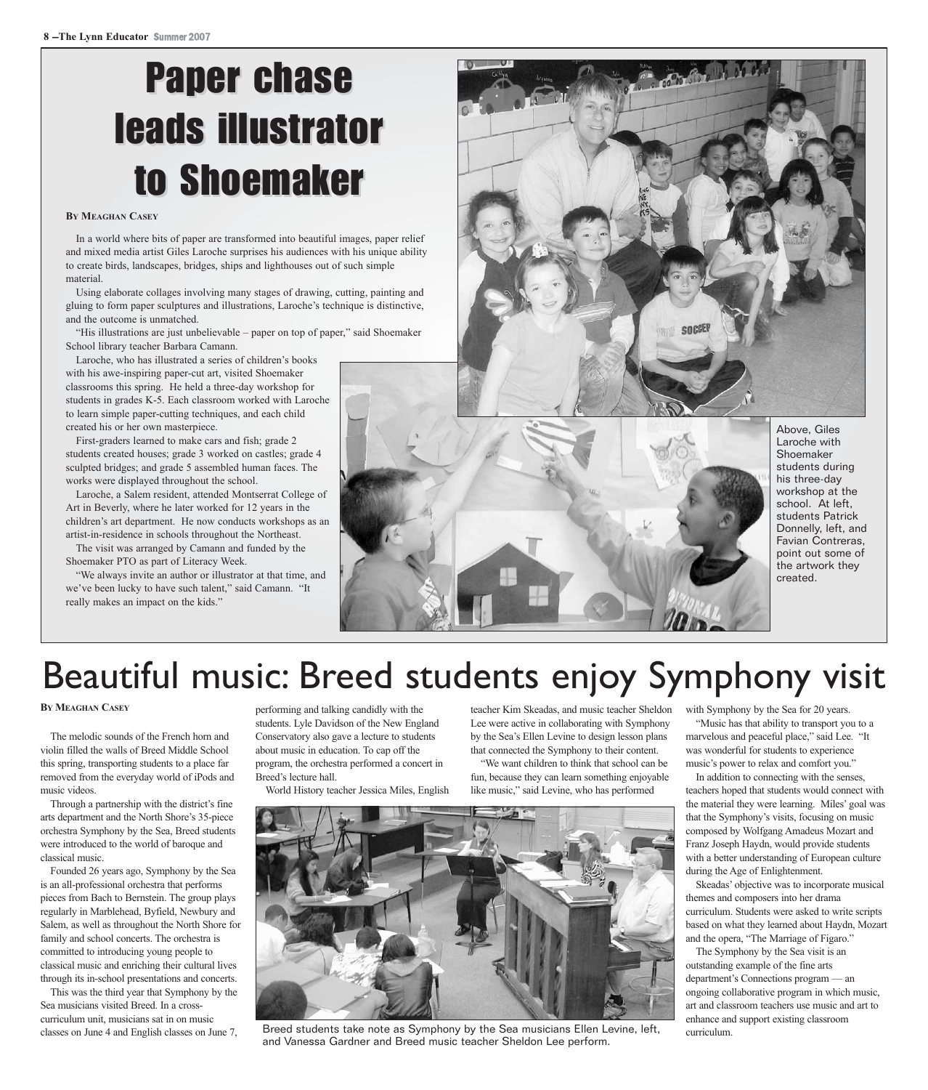## **Paper chase** leads illustrator to Shoemaker

#### **BY MEAGHAN CASEY**

In a world where bits of paper are transformed into beautiful images, paper relief and mixed media artist Giles Laroche surprises his audiences with his unique ability to create birds, landscapes, bridges, ships and lighthouses out of such simple material.

Using elaborate collages involving many stages of drawing, cutting, painting and gluing to form paper sculptures and illustrations, Laroche's technique is distinctive, and the outcome is unmatched.

"His illustrations are just unbelievable – paper on top of paper," said Shoemaker School library teacher Barbara Camann.

Laroche, who has illustrated a series of children's books with his awe-inspiring paper-cut art, visited Shoemaker classrooms this spring. He held a three-day workshop for students in grades K-5. Each classroom worked with Laroche to learn simple paper-cutting techniques, and each child created his or her own masterpiece.

First-graders learned to make cars and fish; grade 2 students created houses; grade 3 worked on castles; grade 4 sculpted bridges; and grade 5 assembled human faces. The works were displayed throughout the school.

Laroche, a Salem resident, attended Montserrat College of Art in Beverly, where he later worked for 12 years in the children's art department. He now conducts workshops as an artist-in-residence in schools throughout the Northeast. The visit was arranged by Camann and funded by the

Shoemaker PTO as part of Literacy Week.

"We always invite an author or illustrator at that time, and we've been lucky to have such talent," said Camann. "It really makes an impact on the kids."



students during his three-day workshop at the school. At left, students Patrick Donnelly, left, and Favian Contreras, point out some of the artwork they

## Beautiful music: Breed students enjoy Symphony visit

#### **BY MEAGHAN CASEY**

The melodic sounds of the French horn and violin filled the walls of Breed Middle School this spring, transporting students to a place far removed from the everyday world of iPods and music videos.

Through a partnership with the district's fine arts department and the North Shore's 35-piece orchestra Symphony by the Sea, Breed students were introduced to the world of baroque and classical music.

Founded 26 years ago, Symphony by the Sea is an all-professional orchestra that performs pieces from Bach to Bernstein. The group plays regularly in Marblehead, Byfield, Newbury and Salem, as well as throughout the North Shore for family and school concerts. The orchestra is committed to introducing young people to classical music and enriching their cultural lives through its in-school presentations and concerts.

This was the third year that Symphony by the Sea musicians visited Breed. In a crosscurriculum unit, musicians sat in on music classes on June 4 and English classes on June 7, performing and talking candidly with the students. Lyle Davidson of the New England Conservatory also gave a lecture to students about music in education. To cap off the program, the orchestra performed a concert in Breed's lecture hall.

World History teacher Jessica Miles, English

teacher Kim Skeadas, and music teacher Sheldon with Symphony by the Sea for 20 years. Lee were active in collaborating with Symphony by the Sea's Ellen Levine to design lesson plans that connected the Symphony to their content.

"We want children to think that school can be fun, because they can learn something enjoyable like music," said Levine, who has performed



Breed students take note as Symphony by the Sea musicians Ellen Levine, left, and Vanessa Gardner and Breed music teacher Sheldon Lee perform.

"Music has that ability to transport you to a marvelous and peaceful place," said Lee. "It was wonderful for students to experience music's power to relax and comfort you."

In addition to connecting with the senses, teachers hoped that students would connect with the material they were learning. Miles' goal was that the Symphony's visits, focusing on music composed by Wolfgang Amadeus Mozart and Franz Joseph Haydn, would provide students with a better understanding of European culture during the Age of Enlightenment.

Skeadas' objective was to incorporate musical themes and composers into her drama curriculum. Students were asked to write scripts based on what they learned about Haydn, Mozart and the opera, "The Marriage of Figaro."

The Symphony by the Sea visit is an outstanding example of the fine arts department's Connections program — an ongoing collaborative program in which music, art and classroom teachers use music and art to enhance and support existing classroom curriculum.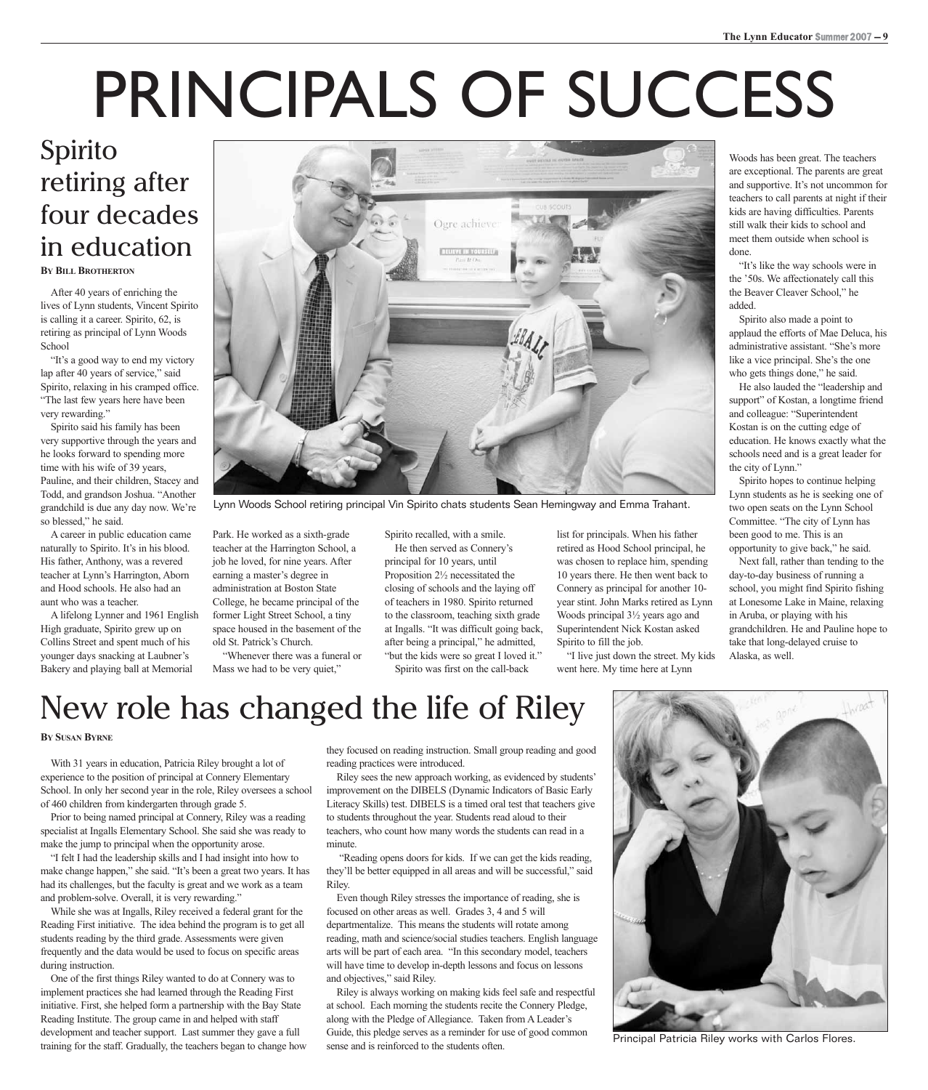## PRINCIPALS OF SUCCESS

### **BY BILL BROTHERTON** Spirito retiring after four decades in education

After 40 years of enriching the lives of Lynn students, Vincent Spirito is calling it a career. Spirito, 62, is retiring as principal of Lynn Woods **School** 

"It's a good way to end my victory lap after 40 years of service," said Spirito, relaxing in his cramped office. "The last few years here have been very rewarding."

Spirito said his family has been very supportive through the years and he looks forward to spending more time with his wife of 39 years, Pauline, and their children, Stacey and Todd, and grandson Joshua. "Another grandchild is due any day now. We're so blessed," he said.

A career in public education came naturally to Spirito. It's in his blood. His father, Anthony, was a revered teacher at Lynn's Harrington, Aborn and Hood schools. He also had an aunt who was a teacher.

A lifelong Lynner and 1961 English High graduate, Spirito grew up on Collins Street and spent much of his younger days snacking at Laubner's Bakery and playing ball at Memorial



Lynn Woods School retiring principal Vin Spirito chats students Sean Hemingway and Emma Trahant.

Park. He worked as a sixth-grade teacher at the Harrington School, a job he loved, for nine years. After earning a master's degree in administration at Boston State College, he became principal of the former Light Street School, a tiny space housed in the basement of the old St. Patrick's Church.

"Whenever there was a funeral or Mass we had to be very quiet,"

Spirito recalled, with a smile. He then served as Connery's

principal for 10 years, until Proposition 2½ necessitated the closing of schools and the laying off of teachers in 1980. Spirito returned to the classroom, teaching sixth grade at Ingalls. "It was difficult going back, after being a principal," he admitted, "but the kids were so great I loved it."

Spirito was first on the call-back

list for principals. When his father retired as Hood School principal, he was chosen to replace him, spending 10 years there. He then went back to Connery as principal for another 10 year stint. John Marks retired as Lynn Woods principal 3½ years ago and Superintendent Nick Kostan asked Spirito to fill the job.

"I live just down the street. My kids went here. My time here at Lynn

Woods has been great. The teachers are exceptional. The parents are great and supportive. It's not uncommon for teachers to call parents at night if their kids are having difficulties. Parents still walk their kids to school and meet them outside when school is done.

"It's like the way schools were in the '50s. We affectionately call this the Beaver Cleaver School," he added.

Spirito also made a point to applaud the efforts of Mae Deluca, his administrative assistant. "She's more like a vice principal. She's the one who gets things done," he said.

He also lauded the "leadership and support" of Kostan, a longtime friend and colleague: "Superintendent Kostan is on the cutting edge of education. He knows exactly what the schools need and is a great leader for the city of Lynn."

Spirito hopes to continue helping Lynn students as he is seeking one of two open seats on the Lynn School Committee. "The city of Lynn has been good to me. This is an opportunity to give back," he said.

Next fall, rather than tending to the day-to-day business of running a school, you might find Spirito fishing at Lonesome Lake in Maine, relaxing in Aruba, or playing with his grandchildren. He and Pauline hope to take that long-delayed cruise to Alaska, as well.

## New role has changed the life of Riley

#### **BY SUSAN BYRNE**

With 31 years in education, Patricia Riley brought a lot of experience to the position of principal at Connery Elementary School. In only her second year in the role, Riley oversees a school of 460 children from kindergarten through grade 5.

Prior to being named principal at Connery, Riley was a reading specialist at Ingalls Elementary School. She said she was ready to make the jump to principal when the opportunity arose.

"I felt I had the leadership skills and I had insight into how to make change happen," she said. "It's been a great two years. It has had its challenges, but the faculty is great and we work as a team and problem-solve. Overall, it is very rewarding."

While she was at Ingalls, Riley received a federal grant for the Reading First initiative. The idea behind the program is to get all students reading by the third grade. Assessments were given frequently and the data would be used to focus on specific areas during instruction.

One of the first things Riley wanted to do at Connery was to implement practices she had learned through the Reading First initiative. First, she helped form a partnership with the Bay State Reading Institute. The group came in and helped with staff development and teacher support. Last summer they gave a full training for the staff. Gradually, the teachers began to change how they focused on reading instruction. Small group reading and good reading practices were introduced.

Riley sees the new approach working, as evidenced by students' improvement on the DIBELS (Dynamic Indicators of Basic Early Literacy Skills) test. DIBELS is a timed oral test that teachers give to students throughout the year. Students read aloud to their teachers, who count how many words the students can read in a minute.

"Reading opens doors for kids. If we can get the kids reading, they'll be better equipped in all areas and will be successful," said Riley.

Even though Riley stresses the importance of reading, she is focused on other areas as well. Grades 3, 4 and 5 will departmentalize. This means the students will rotate among reading, math and science/social studies teachers. English language arts will be part of each area. "In this secondary model, teachers will have time to develop in-depth lessons and focus on lessons and objectives," said Riley.

Riley is always working on making kids feel safe and respectful at school. Each morning the students recite the Connery Pledge, along with the Pledge of Allegiance. Taken from A Leader's Guide, this pledge serves as a reminder for use of good common sense and is reinforced to the students often.



Principal Patricia Riley works with Carlos Flores.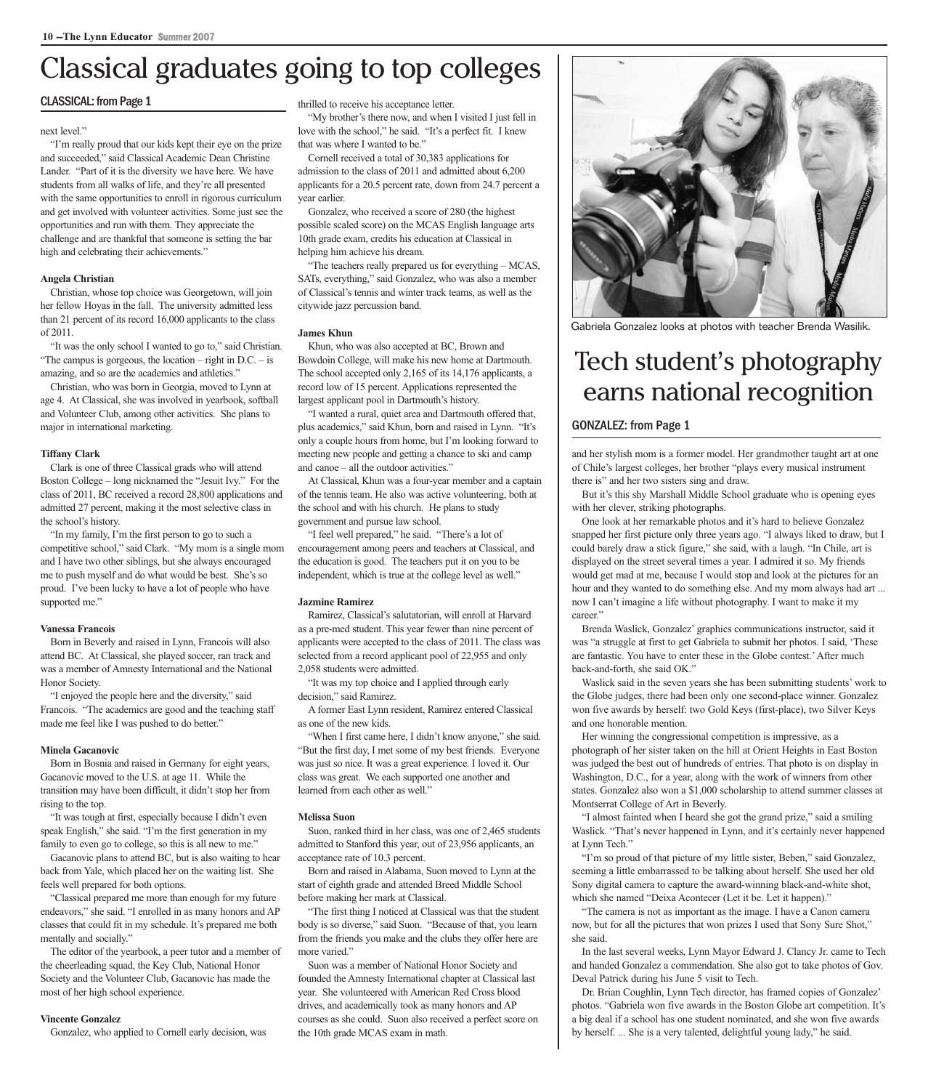## Classical graduates going to top colleges

#### CLASSICAL: from Page 1

#### next level."

"I'm really proud that our kids kept their eye on the prize and succeeded," said Classical Academic Dean Christine Lander. "Part of it is the diversity we have here. We have students from all walks of life, and they're all presented with the same opportunities to enroll in rigorous curriculum and get involved with volunteer activities. Some just see the opportunities and run with them. They appreciate the challenge and are thankful that someone is setting the bar high and celebrating their achievements."

#### **Angela Christian**

Christian, whose top choice was Georgetown, will join her fellow Hoyas in the fall. The university admitted less than 21 percent of its record 16,000 applicants to the class of 2011.

"It was the only school I wanted to go to," said Christian. "The campus is gorgeous, the location – right in  $D.C.$  – is amazing, and so are the academics and athletics."

Christian, who was born in Georgia, moved to Lynn at age 4. At Classical, she was involved in yearbook, softball and Volunteer Club, among other activities. She plans to major in international marketing.

#### **Tiffany Clark**

Clark is one of three Classical grads who will attend Boston College – long nicknamed the "Jesuit Ivy." For the class of 2011, BC received a record 28,800 applications and admitted 27 percent, making it the most selective class in the school's history.

"In my family, I'm the first person to go to such a competitive school," said Clark. "My mom is a single mom and I have two other siblings, but she always encouraged me to push myself and do what would be best. She's so proud. I've been lucky to have a lot of people who have supported me."

#### **Vanessa Francois**

Born in Beverly and raised in Lynn, Francois will also attend BC. At Classical, she played soccer, ran track and was a member of Amnesty International and the National Honor Society.

"I enjoyed the people here and the diversity," said Francois. "The academics are good and the teaching staff made me feel like I was pushed to do better."

#### **Minela Gacanovic**

Born in Bosnia and raised in Germany for eight years, Gacanovic moved to the U.S. at age 11. While the transition may have been difficult, it didn't stop her from rising to the top.

"It was tough at first, especially because I didn't even speak English," she said. "I'm the first generation in my family to even go to college, so this is all new to me."

Gacanovic plans to attend BC, but is also waiting to hear back from Yale, which placed her on the waiting list. She feels well prepared for both options.

"Classical prepared me more than enough for my future endeavors," she said. "I enrolled in as many honors and AP classes that could fit in my schedule. It's prepared me both mentally and socially."

The editor of the yearbook, a peer tutor and a member of the cheerleading squad, the Key Club, National Honor Society and the Volunteer Club, Gacanovic has made the most of her high school experience.

#### **Vincente Gonzalez**

Gonzalez, who applied to Cornell early decision, was

thrilled to receive his acceptance letter.

"My brother's there now, and when I visited I just fell in love with the school," he said. "It's a perfect fit. I knew that was where I wanted to be."

Cornell received a total of 30,383 applications for admission to the class of 2011 and admitted about 6,200 applicants for a 20.5 percent rate, down from 24.7 percent a year earlier.

Gonzalez, who received a score of 280 (the highest possible scaled score) on the MCAS English language arts 10th grade exam, credits his education at Classical in helping him achieve his dream.

"The teachers really prepared us for everything – MCAS, SATs, everything," said Gonzalez, who was also a member of Classical's tennis and winter track teams, as well as the citywide jazz percussion band.

#### **James Khun**

Khun, who was also accepted at BC, Brown and Bowdoin College, will make his new home at Dartmouth. The school accepted only 2,165 of its 14,176 applicants, a record low of 15 percent. Applications represented the largest applicant pool in Dartmouth's history.

"I wanted a rural, quiet area and Dartmouth offered that, plus academics," said Khun, born and raised in Lynn. "It's only a couple hours from home, but I'm looking forward to meeting new people and getting a chance to ski and camp and canoe – all the outdoor activities."

At Classical, Khun was a four-year member and a captain of the tennis team. He also was active volunteering, both at the school and with his church. He plans to study government and pursue law school.

"I feel well prepared," he said. "There's a lot of encouragement among peers and teachers at Classical, and the education is good. The teachers put it on you to be independent, which is true at the college level as well."

#### **Jazmine Ramirez**

Ramirez, Classical's salutatorian, will enroll at Harvard as a pre-med student. This year fewer than nine percent of applicants were accepted to the class of 2011. The class was selected from a record applicant pool of 22,955 and only 2,058 students were admitted.

"It was my top choice and I applied through early decision," said Ramirez.

A former East Lynn resident, Ramirez entered Classical as one of the new kids.

"When I first came here, I didn't know anyone," she said. "But the first day, I met some of my best friends. Everyone was just so nice. It was a great experience. I loved it. Our class was great. We each supported one another and learned from each other as well."

#### **Melissa Suon**

Suon, ranked third in her class, was one of 2,465 students admitted to Stanford this year, out of 23,956 applicants, an acceptance rate of 10.3 percent.

Born and raised in Alabama, Suon moved to Lynn at the start of eighth grade and attended Breed Middle School before making her mark at Classical.

"The first thing I noticed at Classical was that the student body is so diverse," said Suon. "Because of that, you learn from the friends you make and the clubs they offer here are more varied."

Suon was a member of National Honor Society and founded the Amnesty International chapter at Classical last year. She volunteered with American Red Cross blood drives, and academically took as many honors and AP courses as she could. Suon also received a perfect score on the 10th grade MCAS exam in math.



Gabriela Gonzalez looks at photos with teacher Brenda Wasilik.

## Tech student's photography earns national recognition

#### GONZALEZ: from Page 1

and her stylish mom is a former model. Her grandmother taught art at one of Chile's largest colleges, her brother "plays every musical instrument there is" and her two sisters sing and draw.

But it's this shy Marshall Middle School graduate who is opening eyes with her clever, striking photographs.

One look at her remarkable photos and it's hard to believe Gonzalez snapped her first picture only three years ago. "I always liked to draw, but I could barely draw a stick figure," she said, with a laugh. "In Chile, art is displayed on the street several times a year. I admired it so. My friends would get mad at me, because I would stop and look at the pictures for an hour and they wanted to do something else. And my mom always had art ... now I can't imagine a life without photography. I want to make it my career."

Brenda Waslick, Gonzalez' graphics communications instructor, said it was "a struggle at first to get Gabriela to submit her photos. I said, 'These are fantastic. You have to enter these in the Globe contest.' After much back-and-forth, she said OK."

Waslick said in the seven years she has been submitting students' work to the Globe judges, there had been only one second-place winner. Gonzalez won five awards by herself: two Gold Keys (first-place), two Silver Keys and one honorable mention.

Her winning the congressional competition is impressive, as a photograph of her sister taken on the hill at Orient Heights in East Boston was judged the best out of hundreds of entries. That photo is on display in Washington, D.C., for a year, along with the work of winners from other states. Gonzalez also won a \$1,000 scholarship to attend summer classes at Montserrat College of Art in Beverly.

"I almost fainted when I heard she got the grand prize," said a smiling Waslick. "That's never happened in Lynn, and it's certainly never happened at Lynn Tech."

"I'm so proud of that picture of my little sister, Beben," said Gonzalez, seeming a little embarrassed to be talking about herself. She used her old Sony digital camera to capture the award-winning black-and-white shot, which she named "Deixa Acontecer (Let it be. Let it happen)."

"The camera is not as important as the image. I have a Canon camera now, but for all the pictures that won prizes I used that Sony Sure Shot," she said.

In the last several weeks, Lynn Mayor Edward J. Clancy Jr. came to Tech and handed Gonzalez a commendation. She also got to take photos of Gov. Deval Patrick during his June 5 visit to Tech.

Dr. Brian Coughlin, Lynn Tech director, has framed copies of Gonzalez' photos. "Gabriela won five awards in the Boston Globe art competition. It's a big deal if a school has one student nominated, and she won five awards by herself. ... She is a very talented, delightful young lady," he said.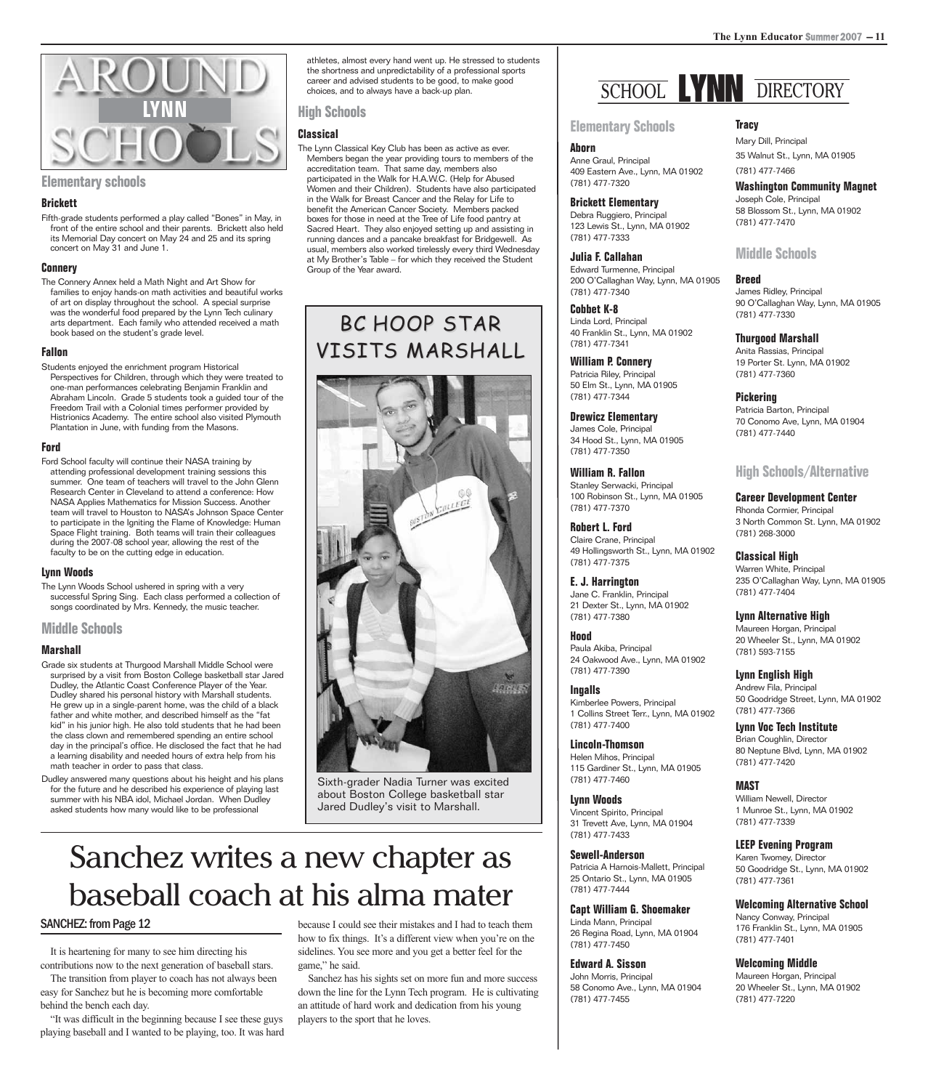

**Elementary schools**

#### **Brickett**

Fifth-grade students performed a play called "Bones" in May, in front of the entire school and their parents. Brickett also held its Memorial Day concert on May 24 and 25 and its spring concert on May 31 and June 1.

#### **Connery**

The Connery Annex held a Math Night and Art Show for families to enjoy hands-on math activities and beautiful works of art on display throughout the school. A special surprise was the wonderful food prepared by the Lynn Tech culinary arts department. Each family who attended received a math book based on the student's grade level.

#### **Fallon**

Students enjoyed the enrichment program Historical Perspectives for Children, through which they were treated to one-man performances celebrating Benjamin Franklin and Abraham Lincoln. Grade 5 students took a guided tour of the Freedom Trail with a Colonial times performer provided by Histrionics Academy. The entire school also visited Plymouth Plantation in June, with funding from the Masons.

#### **Ford**

Ford School faculty will continue their NASA training by attending professional development training sessions this summer. One team of teachers will travel to the John Glenn Research Center in Cleveland to attend a conference: How NASA Applies Mathematics for Mission Success. Another team will travel to Houston to NASA's Johnson Space Center to participate in the Igniting the Flame of Knowledge: Human Space Flight training. Both teams will train their colleagues during the 2007-08 school year, allowing the rest of the faculty to be on the cutting edge in education.

#### **Lynn Woods**

The Lynn Woods School ushered in spring with a very successful Spring Sing. Each class performed a collection of songs coordinated by Mrs. Kennedy, the music teacher.

#### **Middle Schools**

#### **Marshall**

- Grade six students at Thurgood Marshall Middle School were surprised by a visit from Boston College basketball star Jared Dudley, the Atlantic Coast Conference Player of the Year. Dudley shared his personal history with Marshall students. He grew up in a single-parent home, was the child of a black father and white mother, and described himself as the "fat kid" in his junior high. He also told students that he had been the class clown and remembered spending an entire school day in the principal's office. He disclosed the fact that he had a learning disability and needed hours of extra help from his math teacher in order to pass that class.
- Dudley answered many questions about his height and his plans for the future and he described his experience of playing last summer with his NBA idol, Michael Jordan. When Dudley asked students how many would like to be professional

athletes, almost every hand went up. He stressed to students the shortness and unpredictability of a professional sports career and advised students to be good, to make good choices, and to always have a back-up plan.

**High Schools**

#### **Classical**

The Lynn Classical Key Club has been as active as ever. Members began the year providing tours to members of the accreditation team. That same day, members also participated in the Walk for H.A.W.C. (Help for Abused Women and their Children). Students have also participated in the Walk for Breast Cancer and the Relay for Life to benefit the American Cancer Society. Members packed boxes for those in need at the Tree of Life food pantry at Sacred Heart. They also enjoyed setting up and assisting in running dances and a pancake breakfast for Bridgewell. As usual, members also worked tirelessly every third Wednesday at My Brother's Table – for which they received the Student Group of the Year award.

#### BC HOOP STAR VISITS MARSHALL



Sixth-grader Nadia Turner was excited about Boston College basketball star Jared Dudley's visit to Marshall.

## Sanchez writes a new chapter as baseball coach at his alma mater

#### **SANCHEZ: from Page 12** <u>SANCHEZ: from Page 12</u>

It is heartening for many to see him directing his contributions now to the next generation of baseball stars. The transition from player to coach has not always been easy for Sanchez but he is becoming more comfortable behind the bench each day.

"It was difficult in the beginning because I see these guys playing baseball and I wanted to be playing, too. It was hard because I could see their mistakes and I had to teach them how to fix things. It's a different view when you're on the sidelines. You see more and you get a better feel for the game," he said.

Sanchez has his sights set on more fun and more success down the line for the Lynn Tech program. He is cultivating an attitude of hard work and dedication from his young players to the sport that he loves.

## SCHOOL **WIN** DIRECTORY

#### **Elementary Schools**

**Aborn**  Anne Graul, Principal 409 Eastern Ave., Lynn, MA 01902 (781) 477-7320

**Brickett Elementary**  Debra Ruggiero, Principal 123 Lewis St., Lynn, MA 01902 (781) 477-7333

#### **Julia F. Callahan**  Edward Turmenne, Principal 200 O'Callaghan Way, Lynn, MA 01905 (781) 477-7340

**Cobbet K-8**  Linda Lord, Principal 40 Franklin St., Lynn, MA 01902 (781) 477-7341

**William P. Connery**  Patricia Riley, Principal 50 Elm St., Lynn, MA 01905 (781) 477-7344

#### **Drewicz Elementary**

James Cole, Principal 34 Hood St., Lynn, MA 01905 (781) 477-7350

**William R. Fallon**  Stanley Serwacki, Principal 100 Robinson St., Lynn, MA 01905 (781) 477-7370

**Robert L. Ford**  Claire Crane, Principal 49 Hollingsworth St., Lynn, MA 01902 (781) 477-7375

**E. J. Harrington**  Jane C. Franklin, Princinal 21 Dexter St., Lynn, MA 01902 (781) 477-7380

**Hood**  Paula Akiba, Principal 24 Oakwood Ave., Lynn, MA 01902

(781) 477-7390

**Ingalls**  Kimberlee Powers, Principal 1 Collins Street Terr., Lynn, MA 01902 (781) 477-7400

**Lincoln-Thomson**  Helen Mihos, Principal 115 Gardiner St., Lynn, MA 01905 (781) 477-7460

**Lynn Woods**  Vincent Spirito, Principal 31 Trevett Ave, Lynn, MA 01904 (781) 477-7433

**Sewell-Anderson** 

Patricia A Harnois-Mallett, Principal 25 Ontario St., Lynn, MA 01905 (781) 477-7444

**Capt William G. Shoemaker** 

Linda Mann, Principal 26 Regina Road, Lynn, MA 01904 (781) 477-7450

#### **Edward A. Sisson**

John Morris, Principal 58 Conomo Ave., Lynn, MA 01904 (781) 477-7455

#### **Tracy**

Mary Dill, Principal 35 Walnut St., Lynn, MA 01905 (781) 477-7466

**Washington Community Magnet**  Joseph Cole, Principal 58 Blossom St., Lynn, MA 01902 (781) 477-7470

#### **Middle Schools**

**Breed**  James Ridley, Principal 90 O'Callaghan Way, Lynn, MA 01905 (781) 477-7330

**Thurgood Marshall**  Anita Rassias, Principal 19 Porter St. Lynn, MA 01902 (781) 477-7360

**Pickering**  Patricia Barton, Principal 70 Conomo Ave, Lynn, MA 01904 (781) 477-7440

#### **High Schools/Alternative**

**Career Development Center**  Rhonda Cormier, Principal 3 North Common St. Lynn, MA 01902 (781) 268-3000

**Classical High**  Warren White, Principal 235 O'Callaghan Way, Lynn, MA 01905 (781) 477-7404

**Lynn Alternative High** Maureen Horgan, Principal 20 Wheeler St., Lynn, MA 01902 (781) 593-7155

**Lynn English High**  Andrew Fila, Principal 50 Goodridge Street, Lynn, MA 01902 (781) 477-7366

**Lynn Voc Tech Institute**  Brian Coughlin, Director 80 Neptune Blvd, Lynn, MA 01902 (781) 477-7420

#### **MAST**

William Newell, Director 1 Munroe St., Lynn, MA 01902 (781) 477-7339

**LEEP Evening Program**

Karen Twomey, Director 50 Goodridge St., Lynn, MA 01902 (781) 477-7361

#### **Welcoming Alternative School**

Nancy Conway, Principal 176 Franklin St., Lynn, MA 01905 (781) 477-7401

**Welcoming Middle**

Maureen Horgan, Principal 20 Wheeler St., Lynn, MA 01902 (781) 477-7220